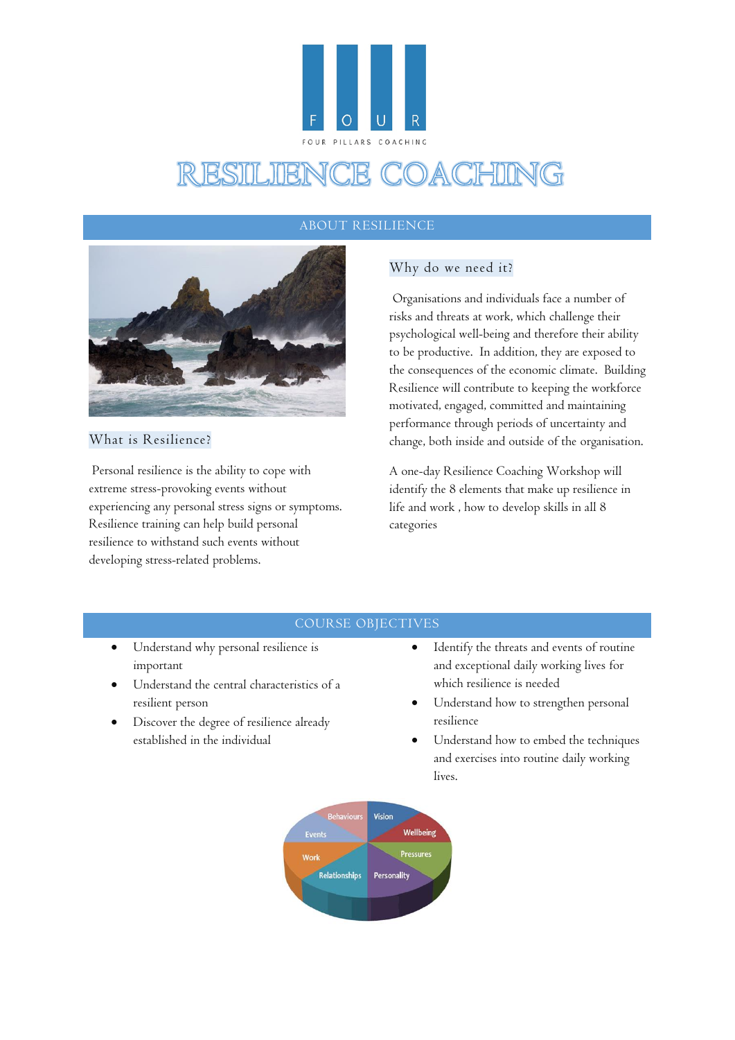

## ABOUT RESILIENCE



## What is Resilience?

Personal resilience is the ability to cope with extreme stress-provoking events without experiencing any personal stress signs or symptoms. Resilience training can help build personal resilience to withstand such events without developing stress-related problems.

# Why do we need it?

Organisations and individuals face a number of risks and threats at work, which challenge their psychological well-being and therefore their ability to be productive. In addition, they are exposed to the consequences of the economic climate. Building Resilience will contribute to keeping the workforce motivated, engaged, committed and maintaining performance through periods of uncertainty and change, both inside and outside of the organisation.

A one-day Resilience Coaching Workshop will identify the 8 elements that make up resilience in life and work , how to develop skills in all 8 categories

### COURSE OBJECTIVES

- Understand why personal resilience is important
- Understand the central characteristics of a resilient person
- Discover the degree of resilience already established in the individual
- Identify the threats and events of routine and exceptional daily working lives for which resilience is needed
- Understand how to strengthen personal resilience
- Understand how to embed the techniques and exercises into routine daily working lives.